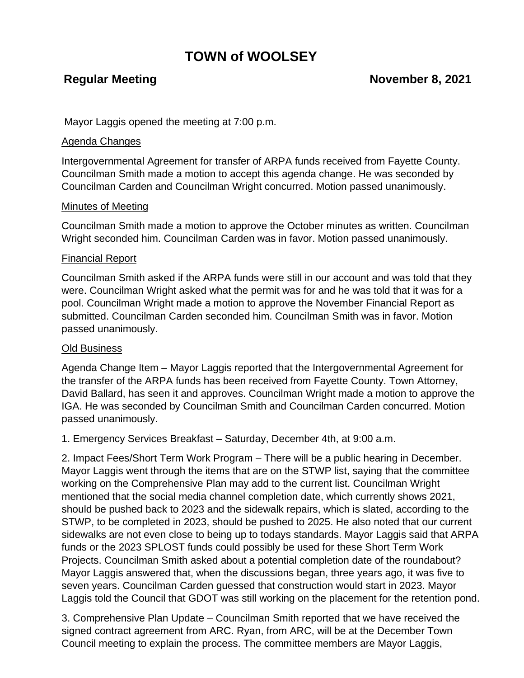# **TOWN of WOOLSEY**

Mayor Laggis opened the meeting at 7:00 p.m.

### Agenda Changes

Intergovernmental Agreement for transfer of ARPA funds received from Fayette County. Councilman Smith made a motion to accept this agenda change. He was seconded by Councilman Carden and Councilman Wright concurred. Motion passed unanimously.

#### Minutes of Meeting

Councilman Smith made a motion to approve the October minutes as written. Councilman Wright seconded him. Councilman Carden was in favor. Motion passed unanimously.

#### Financial Report

Councilman Smith asked if the ARPA funds were still in our account and was told that they were. Councilman Wright asked what the permit was for and he was told that it was for a pool. Councilman Wright made a motion to approve the November Financial Report as submitted. Councilman Carden seconded him. Councilman Smith was in favor. Motion passed unanimously.

## **Old Business**

Agenda Change Item – Mayor Laggis reported that the Intergovernmental Agreement for the transfer of the ARPA funds has been received from Fayette County. Town Attorney, David Ballard, has seen it and approves. Councilman Wright made a motion to approve the IGA. He was seconded by Councilman Smith and Councilman Carden concurred. Motion passed unanimously.

1. Emergency Services Breakfast – Saturday, December 4th, at 9:00 a.m.

2. Impact Fees/Short Term Work Program – There will be a public hearing in December. Mayor Laggis went through the items that are on the STWP list, saying that the committee working on the Comprehensive Plan may add to the current list. Councilman Wright mentioned that the social media channel completion date, which currently shows 2021, should be pushed back to 2023 and the sidewalk repairs, which is slated, according to the STWP, to be completed in 2023, should be pushed to 2025. He also noted that our current sidewalks are not even close to being up to todays standards. Mayor Laggis said that ARPA funds or the 2023 SPLOST funds could possibly be used for these Short Term Work Projects. Councilman Smith asked about a potential completion date of the roundabout? Mayor Laggis answered that, when the discussions began, three years ago, it was five to seven years. Councilman Carden guessed that construction would start in 2023. Mayor Laggis told the Council that GDOT was still working on the placement for the retention pond.

3. Comprehensive Plan Update – Councilman Smith reported that we have received the signed contract agreement from ARC. Ryan, from ARC, will be at the December Town Council meeting to explain the process. The committee members are Mayor Laggis,